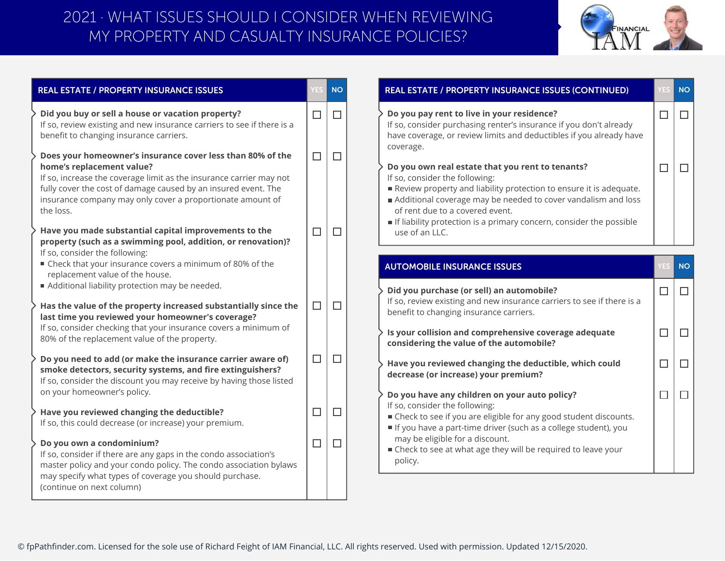## MY PROPERTY AND CASUALTY INSURANCE POLICIES? 2021 · WHAT ISSUES SHOULD I CONSIDER WHEN REVIEWING



|                            | <b>NO</b>                  | <b>REAL ESTATE / PROPERTY INSURANCE ISSUES (CONTINUED)</b>                                                                                                                                                                                                                                                                                                                                                                                                                                                                                                    |                                          | <b>NO</b>   |
|----------------------------|----------------------------|---------------------------------------------------------------------------------------------------------------------------------------------------------------------------------------------------------------------------------------------------------------------------------------------------------------------------------------------------------------------------------------------------------------------------------------------------------------------------------------------------------------------------------------------------------------|------------------------------------------|-------------|
| $\Box$<br>$\Box$<br>$\Box$ | $\Box$<br>$\Box$<br>$\Box$ | Do you pay rent to live in your residence?<br>If so, consider purchasing renter's insurance if you don't already<br>have coverage, or review limits and deductibles if you already have<br>coverage.<br>Do you own real estate that you rent to tenants?<br>If so, consider the following:<br>Review property and liability protection to ensure it is adequate.<br>Additional coverage may be needed to cover vandalism and loss<br>of rent due to a covered event.<br>If liability protection is a primary concern, consider the possible<br>use of an LLC. | $\Box$<br>$\Box$                         | $\Box$<br>□ |
|                            |                            | <b>AUTOMOBILE INSURANCE ISSUES</b>                                                                                                                                                                                                                                                                                                                                                                                                                                                                                                                            |                                          | <b>NO</b>   |
| $\Box$                     | $\Box$                     | Did you purchase (or sell) an automobile?<br>If so, review existing and new insurance carriers to see if there is a<br>benefit to changing insurance carriers.<br>Is your collision and comprehensive coverage adequate                                                                                                                                                                                                                                                                                                                                       | $\Box$<br>$\Box$                         | $\Box$<br>□ |
| $\Box$                     | $\Box$                     | Have you reviewed changing the deductible, which could<br>decrease (or increase) your premium?                                                                                                                                                                                                                                                                                                                                                                                                                                                                | $\Box$                                   | $\Box$      |
| $\Box$<br>$\Box$           | $\Box$<br>$\Box$           | Do you have any children on your auto policy?<br>If so, consider the following:<br>■ Check to see if you are eligible for any good student discounts.<br>If you have a part-time driver (such as a college student), you<br>may be eligible for a discount.<br>■ Check to see at what age they will be required to leave your<br>policy.                                                                                                                                                                                                                      | $\Box$                                   | □           |
|                            |                            |                                                                                                                                                                                                                                                                                                                                                                                                                                                                                                                                                               | considering the value of the automobile? |             |